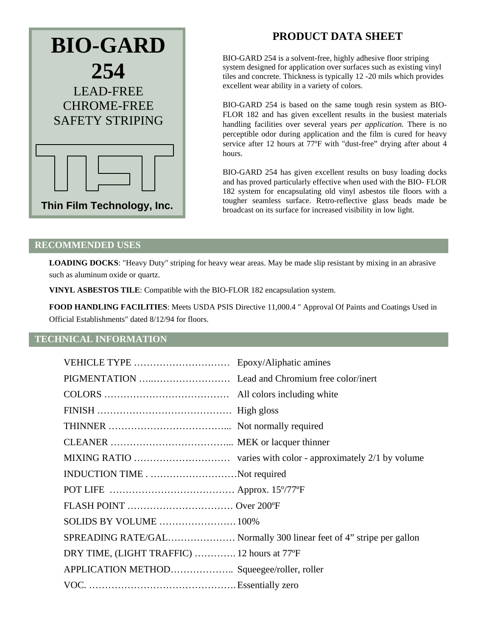

# **PRODUCT DATA SHEET**

BIO-GARD 254 is a solvent-free, highly adhesive floor striping system designed for application over surfaces such as existing vinyl tiles and concrete. Thickness is typically 12 -20 mils which provides excellent wear ability in a variety of colors.

BIO-GARD 254 is based on the same tough resin system as BIO-FLOR 182 and has given excellent results in the busiest materials handling facilities over several years *per application.* There is no perceptible odor during application and the film is cured for heavy service after 12 hours at 77ºF with "dust-free" drying after about 4 hours.

BIO-GARD 254 has given excellent results on busy loading docks and has proved particularly effective when used with the BIO- FLOR 182 system for encapsulating old vinyl asbestos tile floors with a tougher seamless surface. Retro-reflective glass beads made be broadcast on its surface for increased visibility in low light.

#### **RECOMMENDED USES**

**LOADING DOCKS**: "Heavy Duty" striping for heavy wear areas. May be made slip resistant by mixing in an abrasive such as aluminum oxide or quartz.

**VINYL ASBESTOS TILE**: Compatible with the BIO-FLOR 182 encapsulation system.

**FOOD HANDLING FACILITIES**: Meets USDA PSIS Directive 11,000.4 " Approval Of Paints and Coatings Used in Official Establishments" dated 8/12/94 for floors.

## **TECHNICAL INFORMATION**

| INDUCTION TIMENot required                  |                                                                     |
|---------------------------------------------|---------------------------------------------------------------------|
|                                             |                                                                     |
|                                             |                                                                     |
|                                             |                                                                     |
|                                             | SPREADING RATE/GAL Normally 300 linear feet of 4" stripe per gallon |
| DRY TIME, (LIGHT TRAFFIC)  12 hours at 77°F |                                                                     |
| APPLICATION METHOD Squeegee/roller, roller  |                                                                     |
|                                             |                                                                     |